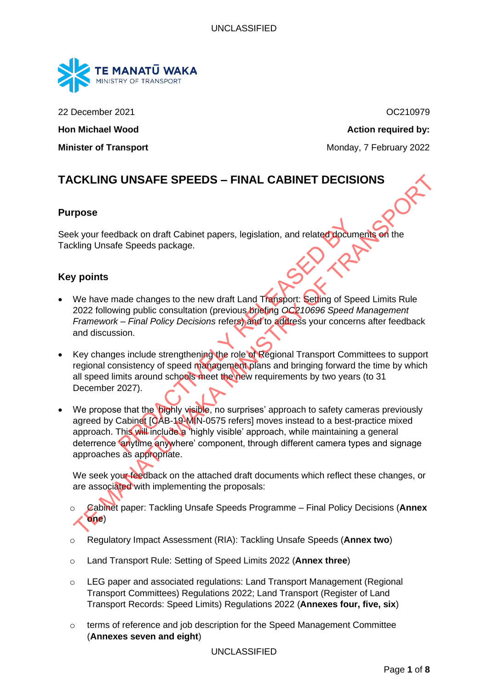

22 December 2021 OC210979

**Hon Michael Wood Action required by:** 

**Minister of Transport** Monday, 7 February 2022

# **TACKLING UNSAFE SPEEDS – FINAL CABINET DECISIONS**

#### **Purpose**

Seek your feedback on draft Cabinet papers, legislation, and related documents on the Tackling Unsafe Speeds package.

## **Key points**

- We have made changes to the new draft Land Transport: Setting of Speed Limits Rule 2022 following public consultation (previous briefing *OC210696 Speed Management Framework – Final Policy Decisions* refers) and to address your concerns after feedback and discussion.
- Key changes include strengthening the role of Regional Transport Committees to support regional consistency of speed management plans and bringing forward the time by which all speed limits around schools meet the new requirements by two years (to 31 December 2027).
- We propose that the **bighly visible**, no surprises' approach to safety cameras previously agreed by Cabinet [CAB-19-MIN-0575 refers] moves instead to a best-practice mixed approach. This will include a 'highly visible' approach, while maintaining a general deterrence 'anytime anywhere' component, through different camera types and signage approaches as appropriate. Mack on draft Cabinet papers, legislation, and related docume<br>
e Speeds package.<br>
ande changes to the new draft Land Transport: Setting of Speed<br>
ing public consultation (previous briefing OC210696 Speed /<br>
- Final Policy CKLING UNSAFE SPEEDS – FINAL CABINET DECISIONS<br>
The Weyour feedback on draft Cabinet papers, legislation, and related documents on the<br>
Ikling Unsafe Speeds package.<br>
Your feedback on draft Cabinet papers, legislation, and

We seek your feedback on the attached draft documents which reflect these changes, or are associated with implementing the proposals:

- o Cabinet paper: Tackling Unsafe Speeds Programme Final Policy Decisions (**Annex one**)
- o Regulatory Impact Assessment (RIA): Tackling Unsafe Speeds (**Annex two**)
- o Land Transport Rule: Setting of Speed Limits 2022 (**Annex three**)
- o LEG paper and associated regulations: Land Transport Management (Regional Transport Committees) Regulations 2022; Land Transport (Register of Land Transport Records: Speed Limits) Regulations 2022 (**Annexes four, five, six**)
- $\circ$  terms of reference and job description for the Speed Management Committee (**Annexes seven and eight**)

#### UNCLASSIFIED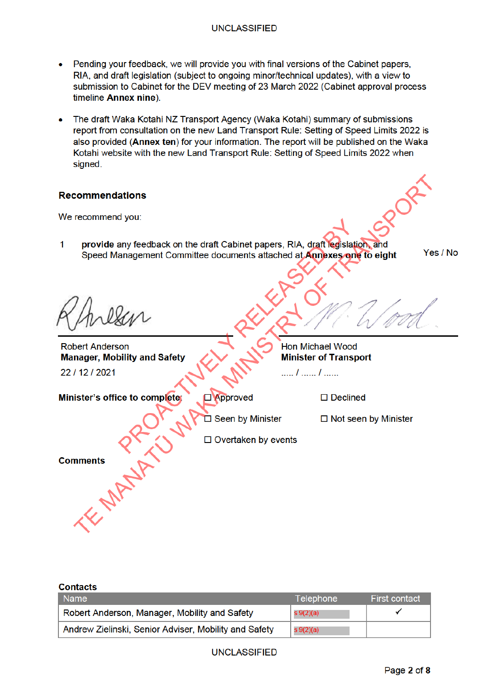- Pending your feedback, we will provide you with final versions of the Cabinet papers, RIA, and draft legislation (subject to ongoing minor/technical updates), with a view to submission to Cabinet for the DEV meeting of 23 March 2022 (Cabinet approval process timeline Annex nine)
- The draft Waka Kotahi NZ Transport Agency (Waka Kotahi) summary of submissions report from consultation on the new Land Transport Rule: Setting of Speed Limits 2022 is also provided (Annex ten) for your information. The report will be published on the Waka Kotahi website with the new Land Transport Rule: Setting of Speed Limits 2022 when sianed.

## **Recommendations**

We recommend you:

 $\overline{1}$ provide any feedback on the draft Cabinet papers. RIA, draft legislation, and Speed Management Committee documents attached at Annexes one to eight

Yes / No

**Robert Anderson Manager, Mobility and Safety** 22 / 12 / 2021

# **Hon Michael Wood Minister of Transport**

..... *l* ...... *l* ......

Minister's office to completer **D**Approved Comments PANT D Seen by Minister  $\Box$  Declined

 $\Box$  Not seen by Minister

 $\Box$  Overtaken by events

**Contacts** 

| <b>Name</b>                                           | Telephone | <b>First contact</b> |
|-------------------------------------------------------|-----------|----------------------|
| Robert Anderson, Manager, Mobility and Safety         | s 9(2)(a) |                      |
| Andrew Zielinski, Senior Adviser, Mobility and Safety | s 9(2)(a) |                      |

**UNCLASSIFIED**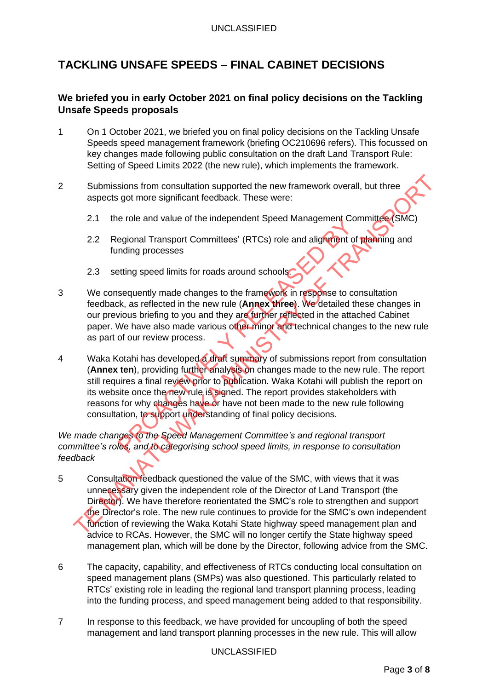# **TACKLING UNSAFE SPEEDS – FINAL CABINET DECISIONS**

# **We briefed you in early October 2021 on final policy decisions on the Tackling Unsafe Speeds proposals**

- 1 On 1 October 2021, we briefed you on final policy decisions on the Tackling Unsafe Speeds speed management framework (briefing OC210696 refers). This focussed on key changes made following public consultation on the draft Land Transport Rule: Setting of Speed Limits 2022 (the new rule), which implements the framework.
- 2 Submissions from consultation supported the new framework overall, but three aspects got more significant feedback. These were:
	- 2.1 the role and value of the independent Speed Management Committee (SMC)
	- 2.2 Regional Transport Committees' (RTCs) role and alignment of planning and funding processes
	- 2.3 setting speed limits for roads around schools.
- 3 We consequently made changes to the framework in response to consultation feedback, as reflected in the new rule (**Annex three**). We detailed these changes in our previous briefing to you and they are further reflected in the attached Cabinet paper. We have also made various other minor and technical changes to the new rule as part of our review process.
- 4 Waka Kotahi has developed a draft summary of submissions report from consultation (**Annex ten**), providing further analysis on changes made to the new rule. The report still requires a final review prior to publication. Waka Kotahi will publish the report on its website once the new rule is signed. The report provides stakeholders with reasons for why changes have or have not been made to the new rule following consultation, to support understanding of final policy decisions. egional Transport Committees' (RTCs) role and alignment Conding processes<br>eguently made changes to the framework in response to co<br>sequently made changes to the framework in response to co<br>sk, as reflected in the new rule Submissions from consultation supported the new framework overall, but three<br>aspects got more significant feedback. These were:<br>
2.1 the role and value of the independent Speed Management Committee (SMC)<br>
2.2 Regional Tra

## *We made changes to the Speed Management Committee's and regional transport committee's roles, and to categorising school speed limits, in response to consultation feedback*

- 5 Consultation feedback questioned the value of the SMC, with views that it was unnecessary given the independent role of the Director of Land Transport (the Director). We have therefore reorientated the SMC's role to strengthen and support the Director's role. The new rule continues to provide for the SMC's own independent function of reviewing the Waka Kotahi State highway speed management plan and advice to RCAs. However, the SMC will no longer certify the State highway speed management plan, which will be done by the Director, following advice from the SMC.
- 6 The capacity, capability, and effectiveness of RTCs conducting local consultation on speed management plans (SMPs) was also questioned. This particularly related to RTCs' existing role in leading the regional land transport planning process, leading into the funding process, and speed management being added to that responsibility.
- 7 In response to this feedback, we have provided for uncoupling of both the speed management and land transport planning processes in the new rule. This will allow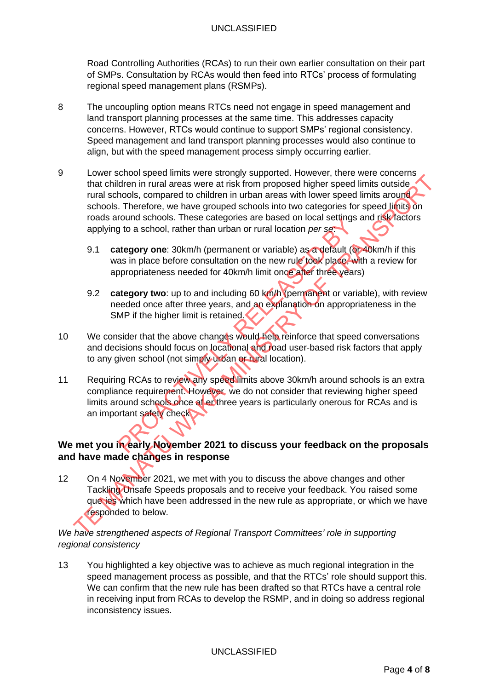Road Controlling Authorities (RCAs) to run their own earlier consultation on their part of SMPs. Consultation by RCAs would then feed into RTCs' process of formulating regional speed management plans (RSMPs).

- 8 The uncoupling option means RTCs need not engage in speed management and land transport planning processes at the same time. This addresses capacity concerns. However, RTCs would continue to support SMPs' regional consistency. Speed management and land transport planning processes would also continue to align, but with the speed management process simply occurring earlier.
- 9 Lower school speed limits were strongly supported. However, there were concerns that children in rural areas were at risk from proposed higher speed limits outside rural schools, compared to children in urban areas with lower speed limits around schools. Therefore, we have grouped schools into two categories for speed limits on roads around schools. These categories are based on local settings and risk factors applying to a school, rather than urban or rural location *per se*: Even value of the mathematic method with the mathematic streaments which were predilimits activited rural schools. Therefore, we have grouped schools in the wave conserved limits and the reset of this activity of the secon
	- 9.1 **category one**: 30km/h (permanent or variable) as a default (or 40km/h if this was in place before consultation on the new rule took place, with a review for appropriateness needed for 40km/h limit once after three years)
	- 9.2 **category two**: up to and including 60 km/h (permanent or variable), with review needed once after three years, and an explanation on appropriateness in the SMP if the higher limit is retained.
- 10 We consider that the above changes would help reinforce that speed conversations and decisions should focus on locational and road user-based risk factors that apply to any given school (not simply urban or rural location).
- 11 Requiring RCAs to review any speed limits above 30km/h around schools is an extra compliance requirement. However, we do not consider that reviewing higher speed limits around schools once af er three years is particularly onerous for RCAs and is an important safety check The arty of the state of the state of the state of the state of the state of the state or the stategory one: 30km/h (permanent or variable) as a default (of as in place before consultation on the new rule took place. We op

# **We met you in early November 2021 to discuss your feedback on the proposals and have made changes in response**

12 On 4 November 2021, we met with you to discuss the above changes and other Tackling Unsafe Speeds proposals and to receive your feedback. You raised some que ies which have been addressed in the new rule as appropriate, or which we have responded to below.

*We have strengthened aspects of Regional Transport Committees' role in supporting regional consistency*

13 You highlighted a key objective was to achieve as much regional integration in the speed management process as possible, and that the RTCs' role should support this. We can confirm that the new rule has been drafted so that RTCs have a central role in receiving input from RCAs to develop the RSMP, and in doing so address regional inconsistency issues.

UNCLASSIFIED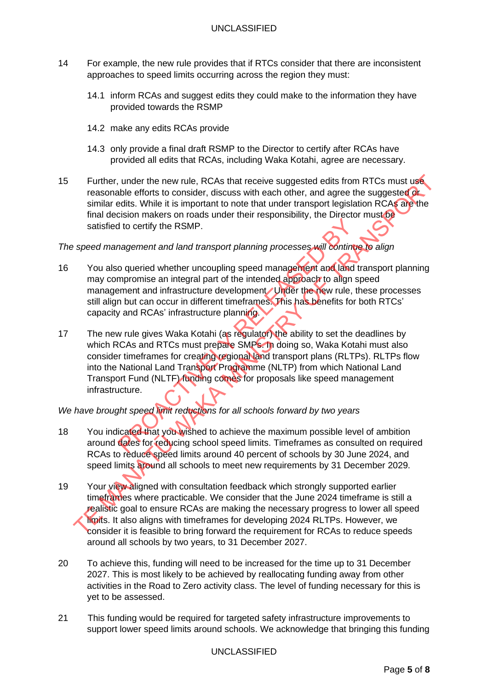- 14 For example, the new rule provides that if RTCs consider that there are inconsistent approaches to speed limits occurring across the region they must:
	- 14.1 inform RCAs and suggest edits they could make to the information they have provided towards the RSMP
	- 14.2 make any edits RCAs provide
	- 14.3 only provide a final draft RSMP to the Director to certify after RCAs have provided all edits that RCAs, including Waka Kotahi, agree are necessary.
- 15 Further, under the new rule, RCAs that receive suggested edits from RTCs must use reasonable efforts to consider, discuss with each other, and agree the suggested or similar edits. While it is important to note that under transport legislation RCAs are the final decision makers on roads under their responsibility, the Director must be satisfied to certify the RSMP.

## *The speed management and land transport planning processes will continue to align*

- 16 You also queried whether uncoupling speed management and land transport planning may compromise an integral part of the intended approach to align speed management and infrastructure development Under the new rule, these processes still align but can occur in different timeframes. This has benefits for both RTCs' capacity and RCAs' infrastructure planning.
- 17 The new rule gives Waka Kotahi (as regulator) the ability to set the deadlines by which RCAs and RTCs must prepare SMPs. In doing so, Waka Kotahi must also consider timeframes for creating regional land transport plans (RLTPs). RLTPs flow into the National Land Transport Programme (NLTP) from which National Land Transport Fund (NLTF) funding comes for proposals like speed management infrastructure. It is certify the RSMP.<br>
It is certify the RSMP.<br>
It is certify the RSMP.<br>
In agement and land transport planning processes will continue<br>
o queried whether uncoupling speed management and land is<br>
imment and infrastructur Further, under the new rule, RCAs that receive suggested edits from RTCs must use<br>
terasonable efforts to consider, discuss with each other, and agree the suggested charge<br>
similar edits. While it is important to note that

## *We have brought speed limit reductions for all schools forward by two years*

- 18 You indicated that you wished to achieve the maximum possible level of ambition around dates for reducing school speed limits. Timeframes as consulted on required RCAs to reduce speed limits around 40 percent of schools by 30 June 2024, and speed limits around all schools to meet new requirements by 31 December 2029.
- 19 Your view aligned with consultation feedback which strongly supported earlier timeframes where practicable. We consider that the June 2024 timeframe is still a realistic goal to ensure RCAs are making the necessary progress to lower all speed limits. It also aligns with timeframes for developing 2024 RLTPs. However, we consider it is feasible to bring forward the requirement for RCAs to reduce speeds around all schools by two years, to 31 December 2027.
- 20 To achieve this, funding will need to be increased for the time up to 31 December 2027. This is most likely to be achieved by reallocating funding away from other activities in the Road to Zero activity class. The level of funding necessary for this is yet to be assessed.
- 21 This funding would be required for targeted safety infrastructure improvements to support lower speed limits around schools. We acknowledge that bringing this funding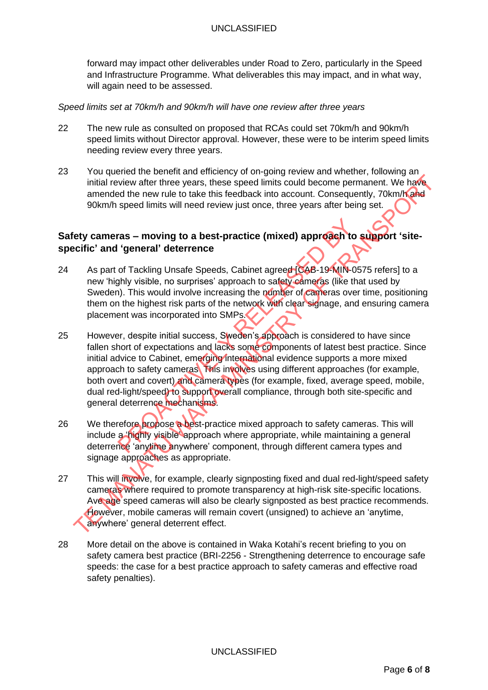forward may impact other deliverables under Road to Zero, particularly in the Speed and Infrastructure Programme. What deliverables this may impact, and in what way, will again need to be assessed.

#### *Speed limits set at 70km/h and 90km/h will have one review after three years*

- 22 The new rule as consulted on proposed that RCAs could set 70km/h and 90km/h speed limits without Director approval. However, these were to be interim speed limits needing review every three years.
- 23 You queried the benefit and efficiency of on-going review and whether, following an initial review after three years, these speed limits could become permanent. We have amended the new rule to take this feedback into account. Consequently, 70km/h and 90km/h speed limits will need review just once, three years after being set.

# **Safety cameras – moving to a best-practice (mixed) approach to support 'sitespecific' and 'general' deterrence**

- 24 As part of Tackling Unsafe Speeds, Cabinet agreed [CAB-19-MIN-0575 refers] to a new 'highly visible, no surprises' approach to safety cameras (like that used by Sweden). This would involve increasing the number of cameras over time, positioning them on the highest risk parts of the network with clear signage, and ensuring camera placement was incorporated into SMPs.
- 25 However, despite initial success, Sweden's approach is considered to have since fallen short of expectations and lacks some components of latest best practice. Since initial advice to Cabinet, emerging international evidence supports a more mixed approach to safety cameras This involves using different approaches (for example, both overt and covert) and camera types (for example, fixed, average speed, mobile, dual red-light/speed) to support overall compliance, through both site-specific and general deterrence mechanisms. ras – moving to a best-practice (mixed) approach to<br>
'general' deterrence<br>
of Tackling Unsafe Speeds, Cabinet agreed (CAB-19-MIN-09<br>
hly visible, no surprises' approach to safety cameras (like th<br>
i). This would involve in initial review after three years, these speed limits could become permanent. We have a<br>mended the new ulto to take this feedback into account. Consequently, 70km/h<br>speed limits will need review yist once, three years atter
- 26 We therefore propose a best-practice mixed approach to safety cameras. This will include a 'highly visible' approach where appropriate, while maintaining a general deterrence 'anytime anywhere' component, through different camera types and signage approaches as appropriate.
- 27 This will involve, for example, clearly signposting fixed and dual red-light/speed safety cameras where required to promote transparency at high-risk site-specific locations. Ave age speed cameras will also be clearly signposted as best practice recommends. However, mobile cameras will remain covert (unsigned) to achieve an 'anytime, anywhere' general deterrent effect.
- 28 More detail on the above is contained in Waka Kotahi's recent briefing to you on safety camera best practice (BRI-2256 - Strengthening deterrence to encourage safe speeds: the case for a best practice approach to safety cameras and effective road safety penalties).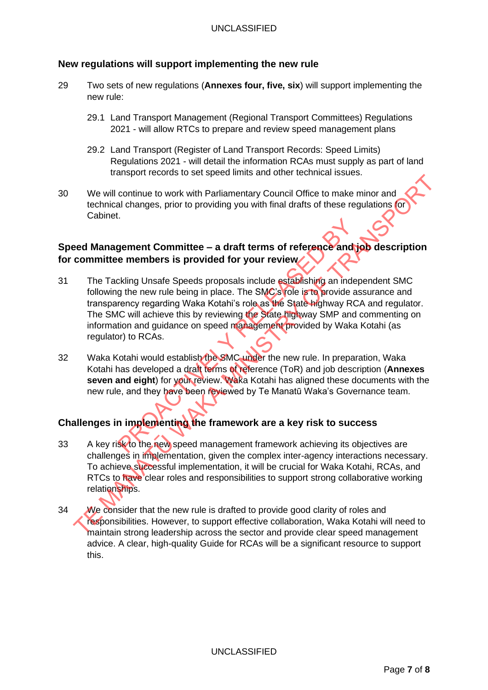# **New regulations will support implementing the new rule**

- 29 Two sets of new regulations (**Annexes four, five, six**) will support implementing the new rule:
	- 29.1 Land Transport Management (Regional Transport Committees) Regulations 2021 - will allow RTCs to prepare and review speed management plans
	- 29.2 Land Transport (Register of Land Transport Records: Speed Limits) Regulations 2021 - will detail the information RCAs must supply as part of land transport records to set speed limits and other technical issues.
- 30 We will continue to work with Parliamentary Council Office to make minor and technical changes, prior to providing you with final drafts of these regulations for Cabinet.

# **Speed Management Committee – a draft terms of reference and job description for committee members is provided for your review**

- 31 The Tackling Unsafe Speeds proposals include establishing an independent SMC following the new rule being in place. The SMC's role is to provide assurance and transparency regarding Waka Kotahi's role as the State highway RCA and regulator. The SMC will achieve this by reviewing the State highway SMP and commenting on information and guidance on speed management provided by Waka Kotahi (as regulator) to RCAs. gement Committee – a draft terms of reference and<br>
e members is provided for your review<br>
or the new rule being in place. The SMC's role is to provide a<br>
rency regarding Waka Kotahi's role as the State highway RC<br>
IC will We will continue to work with Parliamentary Council Office to make minor and<br>technical changes, prior to providing you with final drafts of these regulations (or<br>Cabinet.<br>
Eed Management Committee – a draft terms of refere
- 32 Waka Kotahi would establish the SMC under the new rule. In preparation, Waka Kotahi has developed a draft terms of reference (ToR) and job description (**Annexes seven and eight**) for your review. Waka Kotahi has aligned these documents with the new rule, and they have been reviewed by Te Manatū Waka's Governance team.

# **Challenges in implementing the framework are a key risk to success**

- 33 A key risk to the new speed management framework achieving its objectives are challenges in implementation, given the complex inter-agency interactions necessary. To achieve successful implementation, it will be crucial for Waka Kotahi, RCAs, and RTCs to have clear roles and responsibilities to support strong collaborative working relationships.
- 34 We consider that the new rule is drafted to provide good clarity of roles and responsibilities. However, to support effective collaboration, Waka Kotahi will need to maintain strong leadership across the sector and provide clear speed management advice. A clear, high-quality Guide for RCAs will be a significant resource to support this.